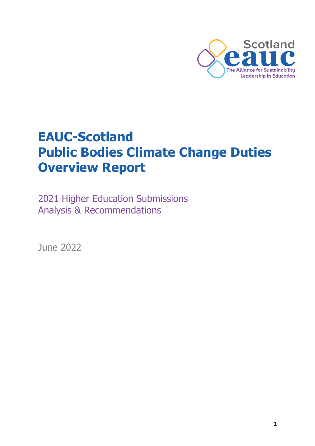

# **EAUC-Scotland Public Bodies Climate Change Duties Overview Report**

2021 Higher Education Submissions Analysis & Recommendations

June 2022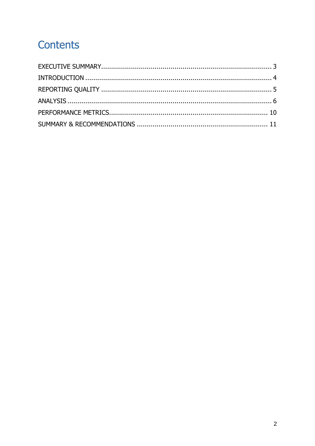# **Contents**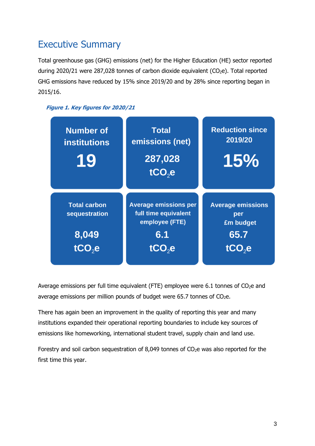### <span id="page-2-0"></span>Executive Summary

Total greenhouse gas (GHG) emissions (net) for the Higher Education (HE) sector reported during 2020/21 were 287,028 tonnes of carbon dioxide equivalent ( $CO<sub>2</sub>e$ ). Total reported GHG emissions have reduced by 15% since 2019/20 and by 28% since reporting began in 2015/16.





Average emissions per full time equivalent (FTE) employee were 6.1 tonnes of  $CO<sub>2</sub>e$  and average emissions per million pounds of budget were  $65.7$  tonnes of  $CO<sub>2</sub>e$ .

There has again been an improvement in the quality of reporting this year and many institutions expanded their operational reporting boundaries to include key sources of emissions like homeworking, international student travel, supply chain and land use.

Forestry and soil carbon sequestration of 8,049 tonnes of  $CO<sub>2</sub>e$  was also reported for the first time this year.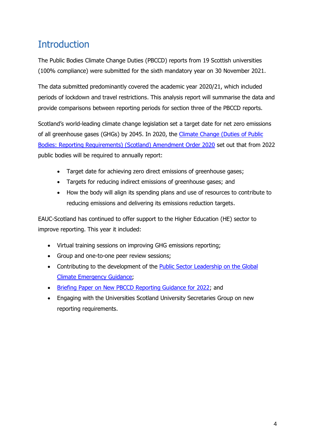# <span id="page-3-0"></span>**Introduction**

The Public Bodies Climate Change Duties (PBCCD) reports from 19 Scottish universities (100% compliance) were submitted for the sixth mandatory year on 30 November 2021.

The data submitted predominantly covered the academic year 2020/21, which included periods of lockdown and travel restrictions. This analysis report will summarise the data and provide comparisons between reporting periods for section three of the PBCCD reports.

Scotland's world-leading climate change legislation set a target date for net zero emissions of all greenhouse gases (GHGs) by 2045. In 2020, the Climate Change (Duties of Public [Bodies: Reporting Requirements\) \(Scotland\) Amendment Order 2020](https://www.legislation.gov.uk/ssi/2020/281/contents/made) set out that from 2022 public bodies will be required to annually report:

- Target date for achieving zero direct emissions of greenhouse gases;
- Targets for reducing indirect emissions of greenhouse gases; and
- How the body will align its spending plans and use of resources to contribute to reducing emissions and delivering its emissions reduction targets.

EAUC-Scotland has continued to offer support to the Higher Education (HE) sector to improve reporting. This year it included:

- Virtual training sessions on improving GHG emissions reporting;
- Group and one-to-one peer review sessions;
- Contributing to the development of the **Public Sector Leadership on the Global** [Climate Emergency Guidance;](https://www.gov.scot/publications/public-sector-leadership-global-climate-emergency/)
- [Briefing Paper on New PBCCD Reporting Guidance for 2022;](https://www.sustainabilityexchange.ac.uk/files/briefing_paper_-_public_sector_leadership_on_the_global_climate_emergency_2021.pdf) and
- Engaging with the Universities Scotland University Secretaries Group on new reporting requirements.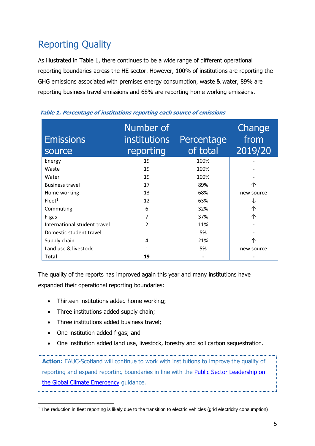# <span id="page-4-0"></span>Reporting Quality

As illustrated in Table 1, there continues to be a wide range of different operational reporting boundaries across the HE sector. However, 100% of institutions are reporting the GHG emissions associated with premises energy consumption, waste & water, 89% are reporting business travel emissions and 68% are reporting home working emissions.

| <b>Emissions</b><br>source   | Number of<br><b>institutions</b><br>reporting | Percentage<br>of total | Change<br>from<br>2019/20 |
|------------------------------|-----------------------------------------------|------------------------|---------------------------|
| Energy                       | 19                                            | 100%                   |                           |
| Waste                        | 19                                            | 100%                   |                           |
| Water                        | 19                                            | 100%                   |                           |
| <b>Business travel</b>       | 17                                            | 89%                    | 个                         |
| Home working                 | 13                                            | 68%                    | new source                |
| Fleet <sup>1</sup>           | 12                                            | 63%                    | ◡                         |
| Commuting                    | 6                                             | 32%                    | 个                         |
| F-gas                        | 7                                             | 37%                    | 个                         |
| International student travel | 2                                             | 11%                    |                           |
| Domestic student travel      | 1                                             | 5%                     |                           |
| Supply chain                 | 4                                             | 21%                    | 个                         |
| Land use & livestock         | 1                                             | 5%                     | new source                |
| Total                        | 19                                            |                        |                           |

#### **Table 1. Percentage of institutions reporting each source of emissions**

The quality of the reports has improved again this year and many institutions have expanded their operational reporting boundaries:

- Thirteen institutions added home working;
- Three institutions added supply chain;
- Three institutions added business travel;
- One institution added f-gas; and
- One institution added land use, livestock, forestry and soil carbon sequestration.

Action: EAUC-Scotland will continue to work with institutions to improve the quality of reporting and expand reporting boundaries in line with the **Public Sector Leadership on** [the Global Climate Emergency](https://www.gov.scot/publications/public-sector-leadership-global-climate-emergency/) guidance.

 $1$  The reduction in fleet reporting is likely due to the transition to electric vehicles (grid electricity consumption)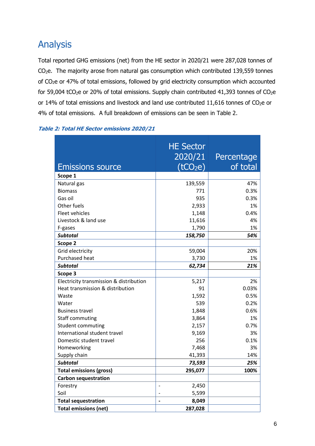### <span id="page-5-0"></span>Analysis

Total reported GHG emissions (net) from the HE sector in 2020/21 were 287,028 tonnes of CO2e. The majority arose from natural gas consumption which contributed 139,559 tonnes of CO2e or 47% of total emissions, followed by grid electricity consumption which accounted for 59,004 tCO<sub>2</sub>e or 20% of total emissions. Supply chain contributed 41,393 tonnes of CO<sub>2</sub>e or 14% of total emissions and livestock and land use contributed 11,616 tonnes of CO<sub>2</sub>e or 4% of total emissions. A full breakdown of emissions can be seen in Table 2.

| Table 2: Total HE Sector emissions 2020/21 |  |  |  |  |
|--------------------------------------------|--|--|--|--|
|--------------------------------------------|--|--|--|--|

| <b>Emissions source</b>                 | <b>HE Sector</b><br>2020/21<br>(tCO <sub>2</sub> e) | Percentage<br>of total |
|-----------------------------------------|-----------------------------------------------------|------------------------|
| Scope 1                                 |                                                     |                        |
| Natural gas                             | 139,559                                             | 47%                    |
| <b>Biomass</b>                          | 771                                                 | 0.3%                   |
| Gas oil                                 | 935                                                 | 0.3%                   |
| Other fuels                             | 2,933                                               | 1%                     |
| <b>Fleet vehicles</b>                   | 1,148                                               | 0.4%                   |
| Livestock & land use                    | 11,616                                              | 4%                     |
| F-gases                                 | 1,790                                               | 1%                     |
| <b>Subtotal</b>                         | 158,750                                             | 54%                    |
| Scope 2                                 |                                                     |                        |
| Grid electricity                        | 59,004                                              | 20%                    |
| Purchased heat                          | 3,730                                               | 1%                     |
| <b>Subtotal</b>                         | 62,734                                              | 21%                    |
| Scope 3                                 |                                                     |                        |
| Electricity transmission & distribution | 5,217                                               | 2%                     |
| Heat transmission & distribution        | 91                                                  | 0.03%                  |
| Waste                                   | 1,592                                               | 0.5%                   |
| Water                                   | 539                                                 | 0.2%                   |
| <b>Business travel</b>                  | 1,848                                               | 0.6%                   |
| Staff commuting                         | 3,864                                               | 1%                     |
| <b>Student commuting</b>                | 2,157                                               | 0.7%                   |
| International student travel            | 9,169                                               | 3%                     |
| Domestic student travel                 | 256                                                 | 0.1%                   |
| Homeworking                             | 7,468                                               | 3%                     |
| Supply chain                            | 41,393                                              | 14%                    |
| <b>Subtotal</b>                         | 73,593                                              | 25%                    |
| <b>Total emissions (gross)</b>          | 295,077                                             | 100%                   |
| <b>Carbon sequestration</b>             |                                                     |                        |
| Forestry                                | 2,450                                               |                        |
| Soil                                    | 5,599                                               |                        |
| <b>Total sequestration</b>              | 8,049<br>$\overline{\phantom{a}}$                   |                        |
| <b>Total emissions (net)</b>            | 287,028                                             |                        |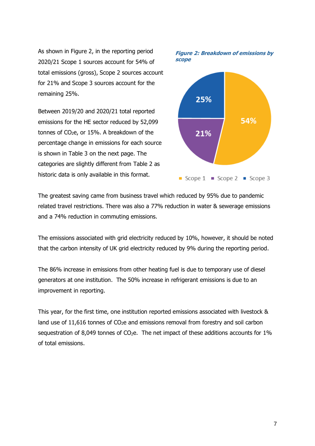As shown in Figure 2, in the reporting period 2020/21 Scope 1 sources account for 54% of total emissions (gross), Scope 2 sources account for 21% and Scope 3 sources account for the remaining 25%.

Between 2019/20 and 2020/21 total reported emissions for the HE sector reduced by 52,099 tonnes of  $CO<sub>2</sub>e$ , or 15%. A breakdown of the percentage change in emissions for each source is shown in Table 3 on the next page. The categories are slightly different from Table 2 as historic data is only available in this format.





The greatest saving came from business travel which reduced by 95% due to pandemic related travel restrictions. There was also a 77% reduction in water & sewerage emissions and a 74% reduction in commuting emissions.

The emissions associated with grid electricity reduced by 10%, however, it should be noted that the carbon intensity of UK grid electricity reduced by 9% during the reporting period.

The 86% increase in emissions from other heating fuel is due to temporary use of diesel generators at one institution. The 50% increase in refrigerant emissions is due to an improvement in reporting.

This year, for the first time, one institution reported emissions associated with livestock & land use of  $11,616$  tonnes of  $CO<sub>2</sub>e$  and emissions removal from forestry and soil carbon sequestration of 8,049 tonnes of  $CO<sub>2</sub>e$ . The net impact of these additions accounts for 1% of total emissions.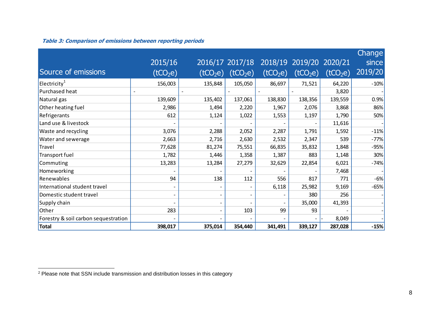|                                      |                          |                      |                      |                                         |                      |                      | Change  |
|--------------------------------------|--------------------------|----------------------|----------------------|-----------------------------------------|----------------------|----------------------|---------|
|                                      | 2015/16                  |                      |                      | 2016/17 2017/18 2018/19 2019/20 2020/21 |                      |                      | since   |
| Source of emissions                  | (tCO <sub>2</sub> e)     | (tCO <sub>2</sub> e) | (tCO <sub>2</sub> e) | (tCO <sub>2</sub> e)                    | (tCO <sub>2</sub> e) | (tCO <sub>2</sub> e) | 2019/20 |
| Electricity <sup>1</sup>             | 156,003                  | 135,848              | 105,050              | 86,697                                  | 71,521               | 64,220               | $-10%$  |
| Purchased heat                       | $\overline{\phantom{a}}$ |                      |                      |                                         |                      | 3,820                |         |
| Natural gas                          | 139,609                  | 135,402              | 137,061              | 138,830                                 | 138,356              | 139,559              | 0.9%    |
| Other heating fuel                   | 2,986                    | 1,494                | 2,220                | 1,967                                   | 2,076                | 3,868                | 86%     |
| Refrigerants                         | 612                      | 1,124                | 1,022                | 1,553                                   | 1,197                | 1,790                | 50%     |
| Land use & livestock                 |                          |                      |                      |                                         |                      | 11,616               |         |
| Waste and recycling                  | 3,076                    | 2,288                | 2,052                | 2,287                                   | 1,791                | 1,592                | $-11%$  |
| Water and sewerage                   | 2,663                    | 2,716                | 2,630                | 2,532                                   | 2,347                | 539                  | $-77%$  |
| <b>Travel</b>                        | 77,628                   | 81,274               | 75,551               | 66,835                                  | 35,832               | 1,848                | $-95%$  |
| Transport fuel                       | 1,782                    | 1,446                | 1,358                | 1,387                                   | 883                  | 1,148                | 30%     |
| Commuting                            | 13,283                   | 13,284               | 27,279               | 32,629                                  | 22,854               | 6,021                | $-74%$  |
| Homeworking                          |                          |                      |                      |                                         |                      | 7,468                |         |
| Renewables                           | 94                       | 138                  | 112                  | 556                                     | 817                  | 771                  | $-6%$   |
| International student travel         |                          |                      |                      | 6,118                                   | 25,982               | 9,169                | $-65%$  |
| Domestic student travel              |                          |                      |                      |                                         | 380                  | 256                  |         |
| Supply chain                         |                          |                      |                      |                                         | 35,000               | 41,393               |         |
| Other                                | 283                      |                      | 103                  | 99                                      | 93                   |                      |         |
| Forestry & soil carbon sequestration |                          |                      |                      |                                         |                      | 8,049                |         |
| Total                                | 398,017                  | 375,014              | 354,440              | 341,491                                 | 339,127              | 287,028              | $-15%$  |

#### **Table 3: Comparison of emissions between reporting periods**

<sup>2</sup> Please note that SSN include transmission and distribution losses in this category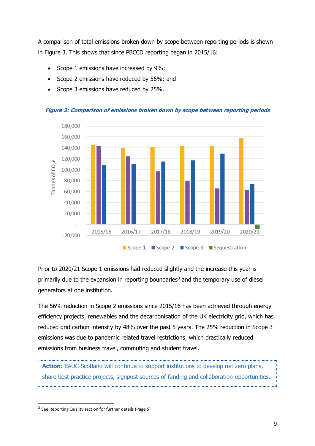A comparison of total emissions broken down by scope between reporting periods is shown in Figure 3. This shows that since PBCCD reporting began in 2015/16:

- Scope 1 emissions have increased by 9%;
- Scope 2 emissions have reduced by 56%; and
- Scope 3 emissions have reduced by 25%.



#### **Figure 3: Comparison of emissions broken down by scope between reporting periods**

Prior to 2020/21 Scope 1 emissions had reduced slightly and the increase this year is primarily due to the expansion in reporting boundaries<sup>3</sup> and the temporary use of diesel generators at one institution.

The 56% reduction in Scope 2 emissions since 2015/16 has been achieved through energy efficiency projects, renewables and the decarbonisation of the UK electricity grid, which has reduced grid carbon intensity by 48% over the past 5 years. The 25% reduction in Scope 3 emissions was due to pandemic related travel restrictions, which drastically reduced emissions from business travel, commuting and student travel.

<span id="page-8-0"></span>**Action:** EAUC-Scotland will continue to support institutions to develop net zero plans, share best practice projects, signpost sources of funding and collaboration opportunities. 

<sup>&</sup>lt;sup>3</sup> See Reporting Quality section for further details (Page 5)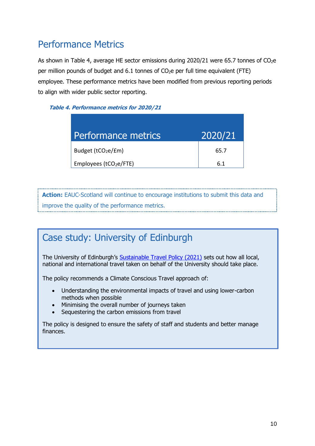### Performance Metrics

As shown in Table 4, average HE sector emissions during 2020/21 were 65.7 tonnes of  $CO<sub>2</sub>e$ per million pounds of budget and  $6.1$  tonnes of  $CO<sub>2</sub>e$  per full time equivalent (FTE) employee. These performance metrics have been modified from previous reporting periods to align with wider public sector reporting.

#### **Table 4. Performance metrics for 2020/21**

| Performance metrics                | 2020/21 |
|------------------------------------|---------|
| Budget (tCO <sub>2</sub> e/£m)     | 65.7    |
| Employees (tCO <sub>2</sub> e/FTE) | 61      |

**Action:** EAUC-Scotland will continue to encourage institutions to submit this data and improve the quality of the performance metrics.

# Case study: University of Edinburgh

The University of Edinburgh's [Sustainable Travel Policy \(2021\)](https://www.ed.ac.uk/sustainability/what-we-do/travel/climate-conscious-travel/sustainable-travel-policy-2021) sets out how all local, national and international travel taken on behalf of the University should take place.

The policy recommends a Climate Conscious Travel approach of:

- Understanding the environmental impacts of travel and using lower-carbon methods when possible
- Minimising the overall number of journeys taken
- Sequestering the carbon emissions from travel

The policy is designed to ensure the safety of staff and students and better manage finances.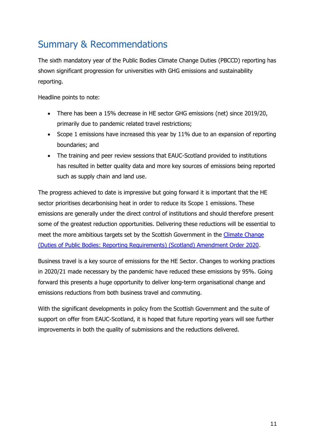# <span id="page-10-0"></span>Summary & Recommendations

The sixth mandatory year of the Public Bodies Climate Change Duties (PBCCD) reporting has shown significant progression for universities with GHG emissions and sustainability reporting.

Headline points to note:

- There has been a 15% decrease in HE sector GHG emissions (net) since 2019/20, primarily due to pandemic related travel restrictions;
- Scope 1 emissions have increased this year by 11% due to an expansion of reporting boundaries; and
- The training and peer review sessions that EAUC-Scotland provided to institutions has resulted in better quality data and more key sources of emissions being reported such as supply chain and land use.

The progress achieved to date is impressive but going forward it is important that the HE sector prioritises decarbonising heat in order to reduce its Scope 1 emissions. These emissions are generally under the direct control of institutions and should therefore present some of the greatest reduction opportunities. Delivering these reductions will be essential to meet the more ambitious targets set by the Scottish Government in the Climate Change [\(Duties of Public Bodies: Reporting Requirements\) \(Scotland\) Amendment Order 2020.](https://www.legislation.gov.uk/ssi/2020/281/contents/made)

Business travel is a key source of emissions for the HE Sector. Changes to working practices in 2020/21 made necessary by the pandemic have reduced these emissions by 95%. Going forward this presents a huge opportunity to deliver long-term organisational change and emissions reductions from both business travel and commuting.

With the significant developments in policy from the Scottish Government and the suite of support on offer from EAUC-Scotland, it is hoped that future reporting years will see further improvements in both the quality of submissions and the reductions delivered.